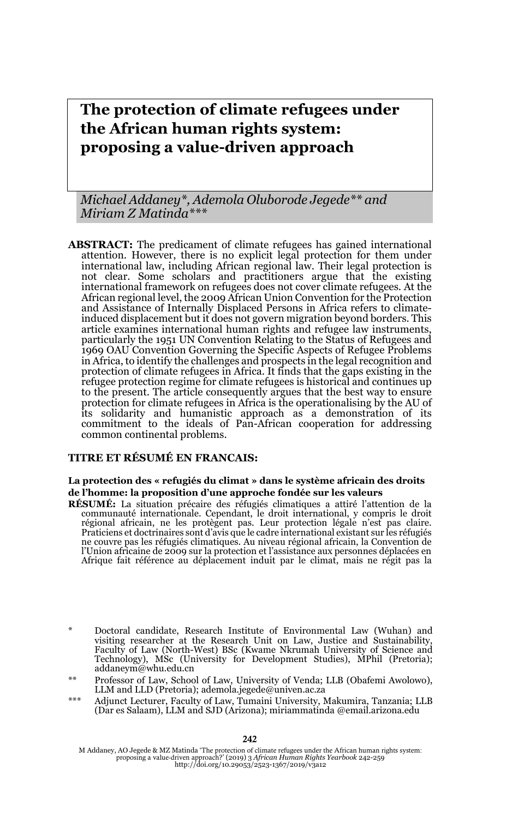# **The protection of climate refugees under the African human rights system: proposing a value-driven approach**

*Michael Addaney\*, Ademola Oluborode Jegede\*\* and Miriam Z Matinda\*\*\**

**ABSTRACT:** The predicament of climate refugees has gained international attention. However, there is no explicit legal protection for them under international law, including African regional law. Their legal protection is not clear. Some scholars and practitioners argue that the existing international framework on refugees does not cover climate refugees. At the African regional level, the 2009 African Union Convention for the Protection and Assistance of Internally Displaced Persons in Africa refers to climateinduced displacement but it does not govern migration beyond borders. This article examines international human rights and refugee law instruments, particularly the 1951 UN Convention Relating to the Status of Refugees and 1969 OAU Convention Governing the Specific Aspects of Refugee Problems in Africa, to identify the challenges and prospects in the legal recognition and protection of climate refugees in Africa. It finds that the gaps existing in the refugee protection regime for climate refugees is historical and continues up to the present. The article consequently argues that the best way to ensure protection for climate refugees in Africa is the operationalising by the AU of its solidarity and humanistic approach as a demonstration of its commitment to the ideals of Pan-African cooperation for addressing common continental problems.

### **TITRE ET RÉSUMÉ EN FRANCAIS:**

#### **La protection des « refugiés du climat » dans le système africain des droits de l'homme: la proposition d'une approche fondée sur les valeurs**

**RÉSUMÉ:** La situation précaire des réfugiés climatiques a attiré l'attention de la communauté internationale. Cependant, le droit international, y compris le droit régional africain, ne les protègent pas. Leur protection légale n'est pas claire. Praticiens et doctrinaires sont d'avis que le cadre international existant sur les réfugiés ne couvre pas les réfugiés climatiques. Au niveau régional africain, la Convention de l'Union africaine de 2009 sur la protection et l'assistance aux personnes déplacées en Afrique fait référence au déplacement induit par le climat, mais ne régit pas la

\*\*\* Adjunct Lecturer, Faculty of Law, Tumaini University, Makumira, Tanzania; LLB (Dar es Salaam), LLM and SJD (Arizona); miriammatinda @email.arizona.edu

<sup>\*</sup> Doctoral candidate, Research Institute of Environmental Law (Wuhan) and visiting researcher at the Research Unit on Law, Justice and Sustainability, Faculty of Law (North-West) BSc (Kwame Nkrumah University of Science and Technology), MSc (University for Development Studies), MPhil (Pretoria); addaneym@whu.edu.cn

<sup>\*\*</sup> Professor of Law, School of Law, University of Venda; LLB (Obafemi Awolowo), LLM and LLD (Pretoria); ademola.jegede@univen.ac.za

M Addaney, AO Jegede & MZ Matinda 'The protection of climate refugees under the African human rights system:<br>proposing a value-driven approach?' (2019) 3 African Human Rights Yearbook 242-259<br>http://doi.org/10.29053/2523-1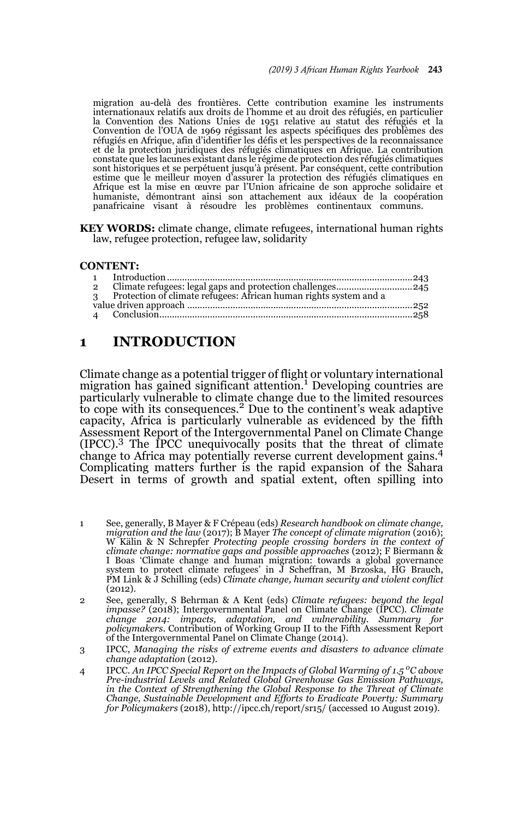migration au-delà des frontières. Cette contribution examine les instruments internationaux relatifs aux droits de l'homme et au droit des réfugiés, en particulier la Convention des Nations Unies de 1951 relative au statut des réfugiés et la Convention de l'OUA de 1969 régissant les aspects spécifiques des problèmes des réfugiés en Afrique, afin d'identifier les défis et les perspectives de la reconnaissance et de la protection juridiques des réfugiés climatiques en Afrique. La contribution constate que les lacunes existant dans le régime de protection des réfugiés climatiques sont historiques et se perpétuent jusqu'à présent. Par conséquent, cette contribution estime que le meilleur moyen d'assurer la protection des réfugiés climatiques en Afrique est la mise en œuvre par l'Union africaine de son approche solidaire et humaniste, démontrant ainsi son attachement aux idéaux de la coopération panafricaine visant à résoudre les problèmes continentaux communs.

**KEY WORDS:** climate change, climate refugees, international human rights law, refugee protection, refugee law, solidarity

#### **CONTENT:**

| $\overline{2}$ |                                                                     |  |
|----------------|---------------------------------------------------------------------|--|
|                | 3 Protection of climate refugees: African human rights system and a |  |
|                |                                                                     |  |
|                |                                                                     |  |
|                |                                                                     |  |

### **1 INTRODUCTION**

Climate change as a potential trigger of flight or voluntary international migration has gained significant attention.<sup>1</sup> Developing countries are particularly vulnerable to climate change due to the limited resources to cope with its consequences.<sup>2</sup> Due to the continent's weak adaptive capacity, Africa is particularly vulnerable as evidenced by the fifth Assessment Report of the Intergovernmental Panel on Climate Change (IPCC).3 The IPCC unequivocally posits that the threat of climate change to Africa may potentially reverse current development gains.<sup>4</sup> Complicating matters further is the rapid expansion of the Sahara Desert in terms of growth and spatial extent, often spilling into

- 1 See, generally, B Mayer & F Crépeau (eds) *Research handbook on climate change, migration and the law* (2017); B Mayer *The concept of climate migration* (2016); W Kälin & N Schrepfer *Protecting people crossing borders in the context of climate change: normative gaps and possible approaches* (2012); F Biermann & I Boas 'Climate change and human migration: towards a global governance system to protect climate refugees' in J Scheffran, M Brzoska, HG Brauch, PM Link & J Schilling (eds) *Climate change, human security and violent conflict* (2012).
- 2 See, generally, S Behrman & A Kent (eds) *Climate refugees: beyond the legal impasse?* (2018); Intergovernmental Panel on Climate Change (IPCC). *Climate change 2014: impacts, adaptation, and vulnerability. Summary for policymakers*. Contribution of Working Group II to the Fifth Assessment Report of the Intergovernmental Panel on Climate Change (2014).
- 3 IPCC, *Managing the risks of extreme events and disasters to advance climate change adaptation* (2012).
- 4 IPCC. An IPCC Special Report on the Impacts of Global Warming of 1.5 <sup>o</sup>C above *Pre-industrial Levels and Related Global Greenhouse Gas Emission Pathways, in the Context of Strengthening the Global Response to the Threat of Climate Change, Sustainable Development and Efforts to Eradicate Poverty: Summary for Policymakers* (2018), http://ipcc.ch/report/sr15/ (accessed 10 August 2019).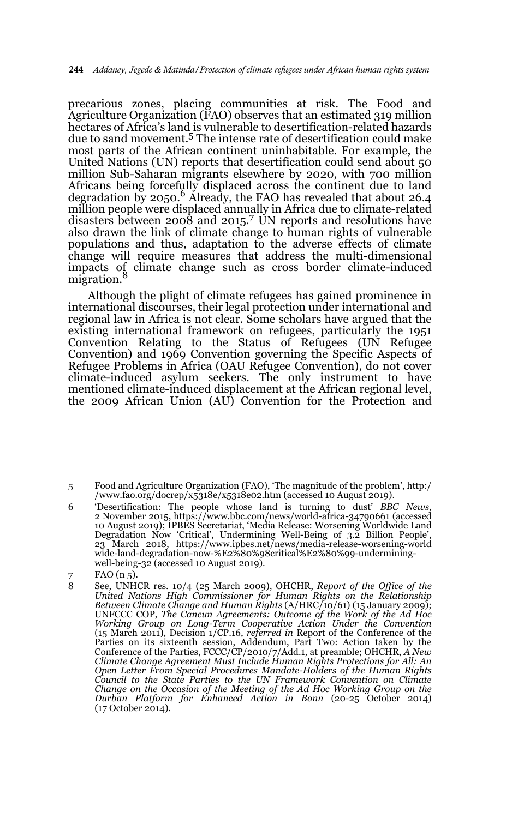precarious zones, placing communities at risk. The Food and Agriculture Organization (FAO) observes that an estimated 319 million hectares of Africa's land is vulnerable to desertification-related hazards due to sand movement.5 The intense rate of desertification could make most parts of the African continent uninhabitable. For example, the United Nations (UN) reports that desertification could send about 50 million Sub-Saharan migrants elsewhere by 2020, with 700 million Africans being forcefully displaced across the continent due to land degradation by  $2050$ .<sup>6</sup> Already, the FAO has revealed that about  $26.4$ million people were displaced annually in Africa due to climate-related disasters between 2008 and 2015.<sup>7</sup> UN reports and resolutions have also drawn the link of climate change to human rights of vulnerable populations and thus, adaptation to the adverse effects of climate change will require measures that address the multi-dimensional impacts of climate change such as cross border climate-induced migration.

Although the plight of climate refugees has gained prominence in international discourses, their legal protection under international and regional law in Africa is not clear. Some scholars have argued that the existing international framework on refugees, particularly the 1951 Convention Relating to the Status of Refugees (UN Refugee Convention) and 1969 Convention governing the Specific Aspects of Refugee Problems in Africa (OAU Refugee Convention), do not cover climate-induced asylum seekers. The only instrument to have mentioned climate-induced displacement at the African regional level, the 2009 African Union (AU) Convention for the Protection and

<sup>5</sup> Food and Agriculture Organization (FAO), 'The magnitude of the problem', http:/ /www.fao.org/docrep/x5318e/x5318e02.htm (accessed 10 August 2019).

<sup>6 &#</sup>x27;Desertification: The people whose land is turning to dust' *BBC News*, 2 November 2015, https://www.bbc.com/news/world-africa-34790661 (accessed 10 August 2019); IPBES Secretariat, 'Media Release: Worsening Worldwide Land Degradation Now 'Critical', Undermining Well-Being of 3.2 Billion People', 23 March 2018, https://www.ipbes.net/news/media-release-worsening-world wide-land-degradation-now-%E2%80%98critical%E2%80%99-underminingwell-being-32 (accessed 10 August 2019).

<sup>7</sup> FAO (n 5).

<sup>8</sup> See, UNHCR res. 10/4 (25 March 2009), OHCHR, *Report of the Office of the United Nations High Commissioner for Human Rights on the Relationship Between Climate Change and Human Rights* (A/HRC/10/61) (15 January 2009); UNFCCC COP, *The Cancun Agreements: Outcome of the Work of the Ad Hoc* Working Group on Long-Term Cooperative Action Under the Convention<br>(15 March 2011), Decision 1/CP.16, referred in Report of the Conference of the<br>Parties on its sixteenth session, Addendum, Part Two: Action taken by the Conference of the Parties, FCCC/CP/2010/7/Add.1, at preamble; OHCHR, *A New Climate Change Agreement Must Include Human Rights Protections for All: An Open Letter From Special Procedures Mandate-Holders of the Human Rights Council to the State Parties to the UN Framework Convention on Climate Change on the Occasion of the Meeting of the Ad Hoc Working Group on the Durban Platform for Enhanced Action in Bonn* (20-25 October 2014) (17 October 2014).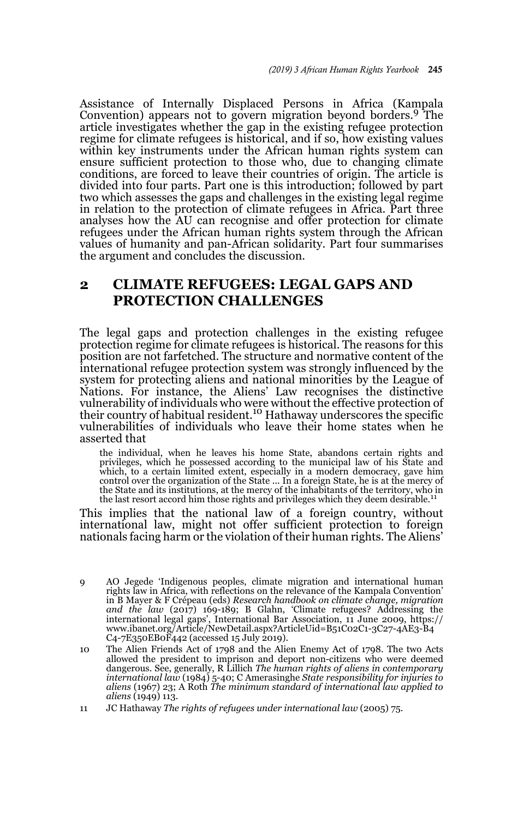Assistance of Internally Displaced Persons in Africa (Kampala Convention) appears not to govern migration beyond borders.9 The article investigates whether the gap in the existing refugee protection regime for climate refugees is historical, and if so, how existing values within key instruments under the African human rights system can ensure sufficient protection to those who, due to changing climate conditions, are forced to leave their countries of origin. The article is divided into four parts. Part one is this introduction; followed by part two which assesses the gaps and challenges in the existing legal regime in relation to the protection of climate refugees in Africa. Part three analyses how the AU can recognise and offer protection for climate refugees under the African human rights system through the African values of humanity and pan-African solidarity. Part four summarises the argument and concludes the discussion.

# **2 CLIMATE REFUGEES: LEGAL GAPS AND PROTECTION CHALLENGES**

The legal gaps and protection challenges in the existing refugee protection regime for climate refugees is historical. The reasons for this position are not farfetched. The structure and normative content of the international refugee protection system was strongly influenced by the system for protecting aliens and national minorities by the League of Nations. For instance, the Aliens' Law recognises the distinctive vulnerability of individuals who were without the effective protection of<br>their country of habitual resident.<sup>10</sup> Hathaway underscores the specific vulnerabilities of individuals who leave their home states when he asserted that

the individual, when he leaves his home State, abandons certain rights and privileges, which he possessed according to the municipal law of his State and which, to a certain limited extent, especially in a modern democracy, gave him control over the organization of the State ... In a foreign State, he is at the mercy of the State and its institutions, at the mercy of the inhabitants of the territory, who in<br>the last resort accord him those rights and privileges which they deem desirable.<sup>11</sup>

This implies that the national law of a foreign country, without international law, might not offer sufficient protection to foreign nationals facing harm or the violation of their human rights. The Aliens'

<sup>9</sup> AO Jegede 'Indigenous peoples, climate migration and international human rights law in Africa, with reflections on the relevance of the Kampala Convention' in B Mayer & F Crépeau (eds) *Research handbook on climate change, migration* and the law (2017) 169-189; B Glahn, 'Climate refugees? Addressing the<br>international legal gaps', International Bar Association, 11 June 2009, https://<br>www.ibanet.org/Article/NewDetail.aspx?ArticleUid=B51C02C1-3C27-4AE3-B4 C4-7E350EB0F442 (accessed 15 July 2019).

<sup>10</sup> The Alien Friends Act of 1798 and the Alien Enemy Act of 1798. The two Acts allowed the president to imprison and deport non-citizens who were deemed dangerous. See, generally, R Lillich *The human rights of aliens in contemporary international law* (1984) 5-40; C Amerasinghe *State responsibility for injuries to aliens* (1967) 23; A Roth *The minimum standard of international law applied to aliens* (1949) 113.

<sup>11</sup> JC Hathaway *The rights of refugees under international law* (2005) 75.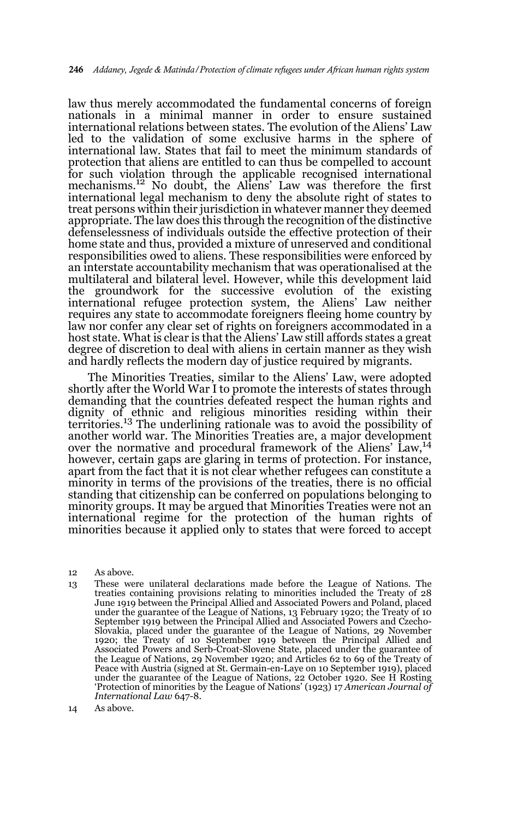law thus merely accommodated the fundamental concerns of foreign nationals in a minimal manner in order to ensure sustained international relations between states. The evolution of the Aliens' Law led to the validation of some exclusive harms in the sphere of international law. States that fail to meet the minimum standards of protection that aliens are entitled to can thus be compelled to account for such violation through the applicable recognised international mechanisms.<sup>12</sup> No doubt, the Aliens' Law was therefore the first international legal mechanism to deny the absolute right of states to treat persons within their jurisdiction in whatever manner they deemed appropriate. The law does this through the recognition of the distinctive defenselessness of individuals outside the effective protection of their home state and thus, provided a mixture of unreserved and conditional responsibilities owed to aliens. These responsibilities were enforced by an interstate accountability mechanism that was operationalised at the multilateral and bilateral level. However, while this development laid the groundwork for the successive evolution of the existing international refugee protection system, the Aliens' Law neither requires any state to accommodate foreigners fleeing home country by law nor confer any clear set of rights on foreigners accommodated in a host state. What is clear is that the Aliens' Law still affords states a great degree of discretion to deal with aliens in certain manner as they wish and hardly reflects the modern day of justice required by migrants.

The Minorities Treaties, similar to the Aliens' Law, were adopted shortly after the World War I to promote the interests of states through demanding that the countries defeated respect the human rights and dignity of ethnic and religious minorities residing within their territories.13 The underlining rationale was to avoid the possibility of another world war. The Minorities Treaties are, a major development over the normative and procedural framework of the Aliens' Law,<sup>14</sup> however, certain gaps are glaring in terms of protection. For instance, apart from the fact that it is not clear whether refugees can constitute a minority in terms of the provisions of the treaties, there is no official standing that citizenship can be conferred on populations belonging to minority groups. It may be argued that Minorities Treaties were not an international regime for the protection of the human rights of minorities because it applied only to states that were forced to accept

12 As above.

13 These were unilateral declarations made before the League of Nations. The treaties containing provisions relating to minorities included the Treaty of 28 June 1919 between the Principal Allied and Associated Powers and Poland, placed under the guarantee of the League of Nations, 13 February 1920; the Treaty of 10 September 1919 between the Principal Allied and Associated Powers and Czecho-Slovakia, placed under the guarantee of the League of Nations, 29 November 1920; the Treaty of 10 September 1919 between the Principal Allied and Associated Powers and Serb-Croat-Slovene State, placed under the guarantee of the League of Nations, 29 November 1920; and Articles 62 to 69 of the Treaty of Peace with Austria (signed at St. Germain-en-Laye on 10 September 1919), placed under the guarantee of the League of Nations, 22 October 1920. See H Rosting 'Protection of minorities by the League of Nations' (1923) 17 *American Journal of International Law* 647-8.

<sup>14</sup> As above.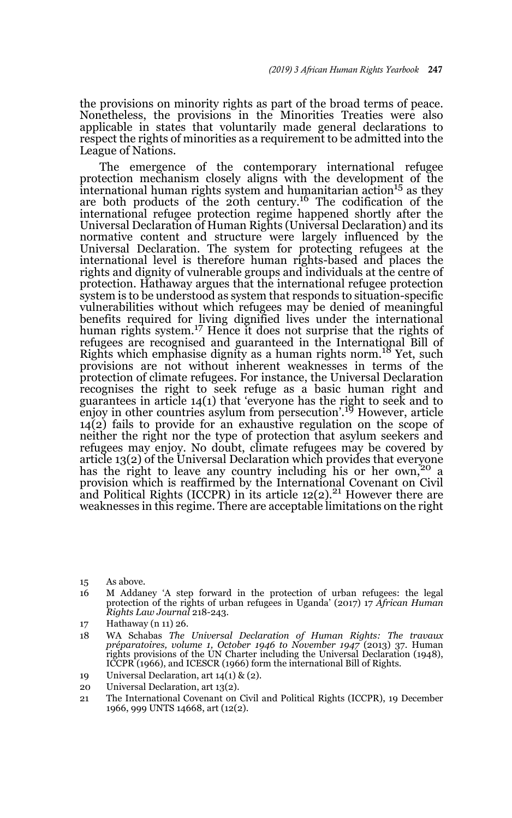the provisions on minority rights as part of the broad terms of peace. Nonetheless, the provisions in the Minorities Treaties were also applicable in states that voluntarily made general declarations to respect the rights of minorities as a requirement to be admitted into the League of Nations.

The emergence of the contemporary international refugee protection mechanism closely aligns with the development of the  $\frac{1}{2}$  international human rights system and humanitarian action<sup>15</sup> as they are both products of the 20th century.<sup>16</sup> The codification of the international refugee protection regime happened shortly after the Universal Declaration of Human Rights (Universal Declaration) and its normative content and structure were largely influenced by the Universal Declaration. The system for protecting refugees at the international level is therefore human rights-based and places the rights and dignity of vulnerable groups and individuals at the centre of protection. Hathaway argues that the international refugee protection system is to be understood as system that responds to situation-specific vulnerabilities without which refugees may be denied of meaningful benefits required for living dignified lives under the international human rights system.<sup>17</sup> Hence it does not surprise that the rights of refugees are recognised and guaranteed in the International Bill of Rights which emphasise dignity as a human rights norm.18 Yet, such provisions are not without inherent weaknesses in terms of the protection of climate refugees. For instance, the Universal Declaration recognises the right to seek refuge as a basic human right and guarantees in article 14(1) that 'everyone has the right to seek and to enjoy in other countries asylum from persecution'.19 However, article  $14(2)$  fails to provide for an exhaustive regulation on the scope of neither the right nor the type of protection that asylum seekers and refugees may enjoy. No doubt, climate refugees may be covered by article 13(2) of the Universal Declaration which provides that everyone has the right to leave any country including his or her own,<sup>20</sup> a provision which is reaffirmed by the International Covenant on Civil and Political Rights (ICCPR) in its article  $12(2)$ .<sup>21</sup> However there are weaknesses in this regime. There are acceptable limitations on the right

- 16 M Addaney 'A step forward in the protection of urban refugees: the legal protection of the rights of urban refugees in Uganda' (2017) 17 *African Human Rights Law Journal* 218-243.
- 17 Hathaway (n 11) 26.
- 18 WA Schabas *The Universal Declaration of Human Rights: The travaux préparatoires, volume 1, October 1946 to November 1947* (2013) 37. Human rights provisions of the UN Charter including the Universal Declaration (1948), ICCPR (1966), and ICESCR (1966) form the international Bill of Rights.
- 19 Universal Declaration, art 14(1) & (2).
- 20 Universal Declaration, art 13(2).
- 21 The International Covenant on Civil and Political Rights (ICCPR), 19 December 1966, 999 UNTS 14668, art (12(2).

<sup>15</sup> As above.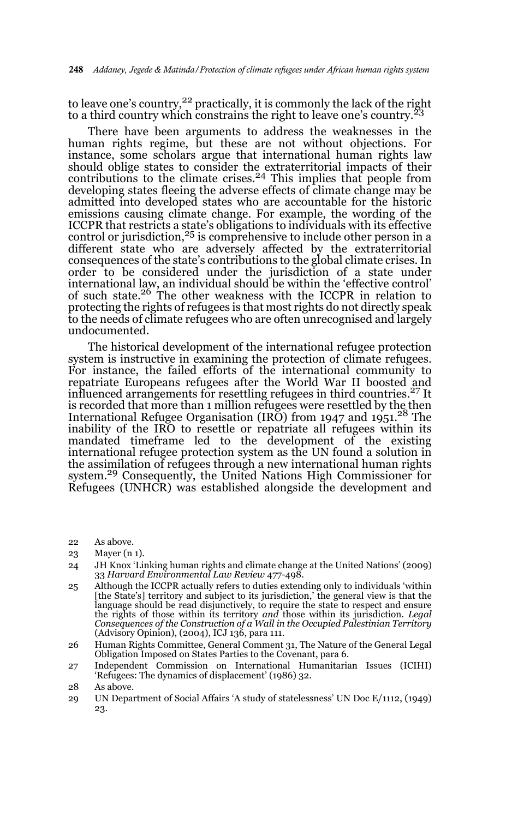to leave one's country,<sup>22</sup> practically, it is commonly the lack of the right to a third country which constrains the right to leave one's country.<sup>23</sup>

There have been arguments to address the weaknesses in the human rights regime, but these are not without objections. For instance, some scholars argue that international human rights law should oblige states to consider the extraterritorial impacts of their contributions to the climate crises. $24$  This implies that people from developing states fleeing the adverse effects of climate change may be admitted into developed states who are accountable for the historic emissions causing climate change. For example, the wording of the ICCPR that restricts a state's obligations to individuals with its effective control or jurisdiction, $25$  is comprehensive to include other person in a different state who are adversely affected by the extraterritorial consequences of the state's contributions to the global climate crises. In order to be considered under the jurisdiction of a state under international law, an individual should be within the 'effective control' of such state.26 The other weakness with the ICCPR in relation to protecting the rights of refugees is that most rights do not directly speak to the needs of climate refugees who are often unrecognised and largely undocumented.

The historical development of the international refugee protection system is instructive in examining the protection of climate refugees. For instance, the failed efforts of the international community to repatriate Europeans refugees after the World War II boosted and influenced arrangements for resettling refugees in third countries.27 It is recorded that more than 1 million refugees were resettled by the then International Refugee Organisation (IRO) from 1947 and 1951.<sup>28</sup> The inability of the IRO to resettle or repatriate all refugees within its mandated timeframe led to the development of the existing international refugee protection system as the UN found a solution in the assimilation of refugees through a new international human rights system.29 Consequently, the United Nations High Commissioner for Refugees (UNHCR) was established alongside the development and

22 As above.

- 24 JH Knox 'Linking human rights and climate change at the United Nations' (2009) 33 *Harvard Environmental Law Review* 477-498.
- 25 Although the ICCPR actually refers to duties extending only to individuals 'within [the State's] territory and subject to its jurisdiction,' the general view is that the language should be read disjunctively, to require the state to respect and ensure the rights of those within its territory *and* those within its jurisdiction. *Legal Consequences of the Construction of a Wall in the Occupied Palestinian Territory* (Advisory Opinion), (2004), ICJ 136, para 111.
- 26 Human Rights Committee, General Comment 31, The Nature of the General Legal Obligation Imposed on States Parties to the Covenant, para 6.
- 27 Independent Commission on International Humanitarian Issues (ICIHI) 'Refugees: The dynamics of displacement' (1986) 32.
- 28 As above.
- 29 UN Department of Social Affairs 'A study of statelessness' UN Doc E/1112, (1949) 23.

<sup>23</sup> Mayer (n 1).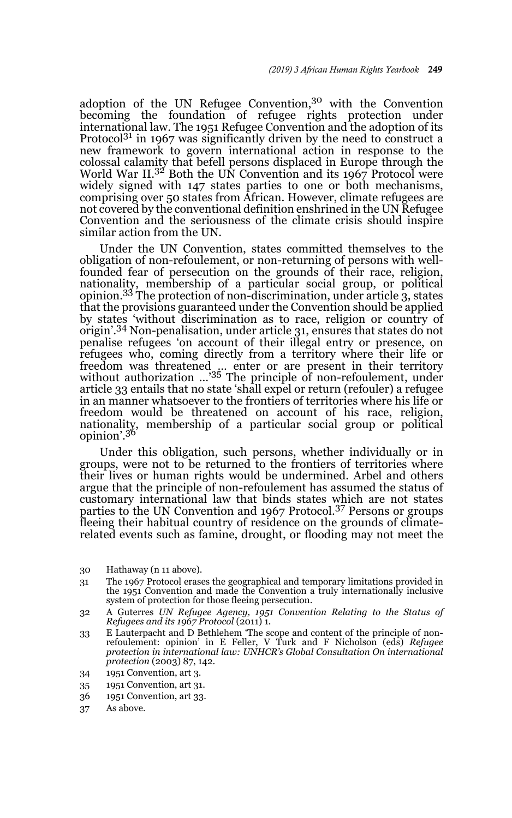adoption of the UN Refugee Convention,30 with the Convention becoming the foundation of refugee rights protection under international law. The 1951 Refugee Convention and the adoption of its Protocol<sup>31</sup> in 1967 was significantly driven by the need to construct a new framework to govern international action in response to the colossal calamity that befell persons displaced in Europe through the World War II.32 Both the UN Convention and its 1967 Protocol were widely signed with 147 states parties to one or both mechanisms, comprising over 50 states from African. However, climate refugees are not covered by the conventional definition enshrined in the UN Refugee Convention and the seriousness of the climate crisis should inspire similar action from the UN.

Under the UN Convention, states committed themselves to the obligation of non-refoulement, or non-returning of persons with wellfounded fear of persecution on the grounds of their race, religion, nationality, membership of a particular social group, or political opinion.33 The protection of non-discrimination, under article 3, states that the provisions guaranteed under the Convention should be applied by states 'without discrimination as to race, religion or country of origin'.34 Non-penalisation, under article 31, ensures that states do not penalise refugees 'on account of their illegal entry or presence, on refugees who, coming directly from a territory where their life or freedom was threatened … enter or are present in their territory without authorization …'35 The principle of non-refoulement, under article 33 entails that no state 'shall expel or return (refouler) a refugee in an manner whatsoever to the frontiers of territories where his life or freedom would be threatened on account of his race, religion, nationality, membership of a particular social group or political opinion'.<sup>36</sup>

Under this obligation, such persons, whether individually or in groups, were not to be returned to the frontiers of territories where their lives or human rights would be undermined. Arbel and others argue that the principle of non-refoulement has assumed the status of customary international law that binds states which are not states parties to the UN Convention and 1967 Protocol.37 Persons or groups fleeing their habitual country of residence on the grounds of climaterelated events such as famine, drought, or flooding may not meet the

- 30 Hathaway (n 11 above).
- 31 The 1967 Protocol erases the geographical and temporary limitations provided in the 1951 Convention and made the Convention a truly internationally inclusive system of protection for those fleeing persecution.
- 32 A Guterres *UN Refugee Agency, 1951 Convention Relating to the Status of Refugees and its 1967 Protocol* (2011) 1.
- 33 E Lauterpacht and D Bethlehem 'The scope and content of the principle of non-refoulement: opinion' in E Feller, V Turk and F Nicholson (eds) *Refugee protection in international law: UNHCR's Global Consultation On international protection* (2003) 87, 142.
- 34 1951 Convention, art 3.
- 35 1951 Convention, art 31.
- 36 1951 Convention, art 33.
- 37 As above.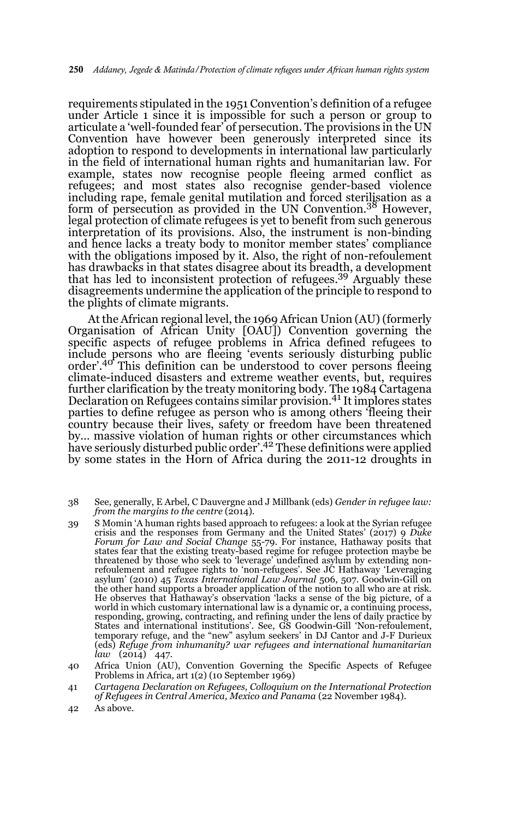requirements stipulated in the 1951 Convention's definition of a refugee under Article 1 since it is impossible for such a person or group to articulate a 'well-founded fear' of persecution. The provisions in the UN Convention have however been generously interpreted since its adoption to respond to developments in international law particularly in the field of international human rights and humanitarian law. For example, states now recognise people fleeing armed conflict as refugees; and most states also recognise gender-based violence including rape, female genital mutilation and forced sterilisation as a form of persecution as provided in the UN Convention.<sup>38</sup> However, legal protection of climate refugees is yet to benefit from such generous interpretation of its provisions. Also, the instrument is non-binding and hence lacks a treaty body to monitor member states' compliance with the obligations imposed by it. Also, the right of non-refoulement has drawbacks in that states disagree about its breadth, a development that has led to inconsistent protection of refugees.39 Arguably these disagreements undermine the application of the principle to respond to the plights of climate migrants.

At the African regional level, the 1969 African Union (AU) (formerly Organisation of African Unity [OAU]) Convention governing the specific aspects of refugee problems in Africa defined refugees to include persons who are fleeing 'events seriously disturbing public order'.40 This definition can be understood to cover persons fleeing climate-induced disasters and extreme weather events, but, requires further clarification by the treaty monitoring body. The 1984 Cartagena Declaration on Refugees contains similar provision.41 It implores states parties to define refugee as person who is among others 'fleeing their country because their lives, safety or freedom have been threatened by... massive violation of human rights or other circumstances which<br>have seriously disturbed public order'.<sup>42</sup> These definitions were applied by some states in the Horn of Africa during the 2011-12 droughts in

- 38 See, generally, E Arbel, C Dauvergne and J Millbank (eds) *Gender in refugee law: from the margins to the centre* (2014).
- 39 S Momin 'A human rights based approach to refugees: a look at the Syrian refugee crisis and the responses from Germany and the United States' (2017) 9 *Duke Forum for Law and Social Change* 55-79. For instance, Hathaway posits that states fear that the existing treaty-based regime for refugee protection maybe be threatened by those who seek to 'leverage' undefined asylum by extending nonrefoulement and refugee rights to 'non-refugees'. See JC Hathaway 'Leveraging asylum' (2010) 45 *Texas International Law Journal* 506, 507. Goodwin-Gill on the other hand supports a broader application of the notion to all who are at risk. He observes that Hathaway's observation 'lacks a sense of the big picture, of a world in which customary international law is a dynamic or, a continuing process, responding, growing, contracting, and refining under the lens of daily practice by States and international institutions'. See, GS Goodwin-Gill 'Non-refoulement, temporary refuge, and the "new" asylum seekers' in DJ Cantor and J-F Durieux (eds) *Refuge from inhumanity? war refugees and international humanitarian law* (2014) 447.
- 40 Africa Union (AU), Convention Governing the Specific Aspects of Refugee Problems in Africa*,* art 1(2) (10 September 1969)
- 41 *Cartagena Declaration on Refugees, Colloquium on the International Protection of Refugees in Central America, Mexico and Panama* (22 November 1984).
- 42 As above.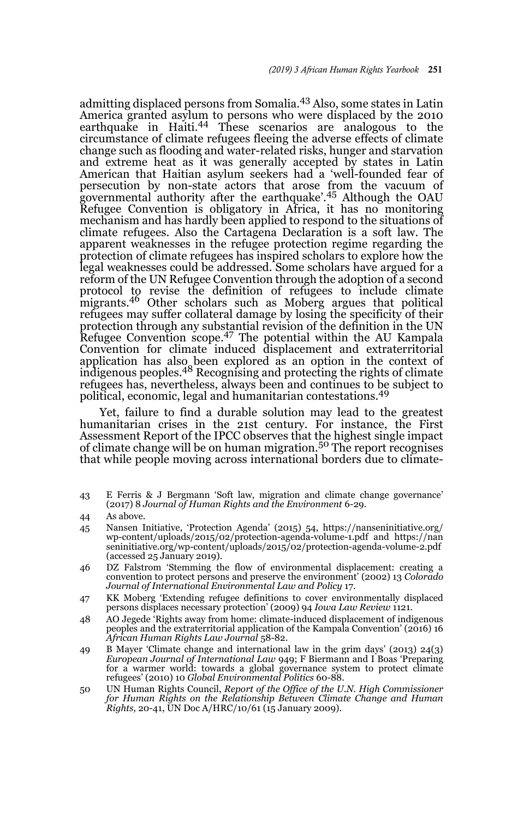admitting displaced persons from Somalia.43 Also, some states in Latin America granted asylum to persons who were displaced by the 2010 earthquake in Haiti.<sup>44</sup> These scenarios are analogous to the circumstance of climate refugees fleeing the adverse effects of climate change such as flooding and water-related risks, hunger and starvation and extreme heat as it was generally accepted by states in Latin American that Haitian asylum seekers had a 'well-founded fear of persecution by non-state actors that arose from the vacuum of governmental authority after the earthquake'.45 Although the OAU Refugee Convention is obligatory in Africa, it has no monitoring mechanism and has hardly been applied to respond to the situations of climate refugees. Also the Cartagena Declaration is a soft law. The apparent weaknesses in the refugee protection regime regarding the protection of climate refugees has inspired scholars to explore how the legal weaknesses could be addressed. Some scholars have argued for a reform of the UN Refugee Convention through the adoption of a second protocol to revise the definition of refugees to include climate migrants.46 Other scholars such as Moberg argues that political refugees may suffer collateral damage by losing the specificity of their protection through any substantial revision of the definition in the UN Refugee Convention scope.47 The potential within the AU Kampala Convention for climate induced displacement and extraterritorial application has also been explored as an option in the context of indigenous peoples.<sup>48</sup> Recognising and protecting the rights of climate refugees has, nevertheless, always been and continues to be subject to political, economic, legal and humanitarian contestations.<sup>49</sup>

Yet, failure to find a durable solution may lead to the greatest humanitarian crises in the 21st century. For instance, the First Assessment Report of the IPCC observes that the highest single impact of climate change will be on human migration.50 The report recognises that while people moving across international borders due to climate-

- 43 E Ferris & J Bergmann 'Soft law, migration and climate change governance' (2017) 8 *Journal of Human Rights and the Environment* 6-29.
- 44 As above.
- 45 Nansen Initiative, 'Protection Agenda' (2015) 54, https://nanseninitiative.org/ wp-content/uploads/2015/02/protection-agenda-volume-1.pdf and https://nan seninitiative.org/wp-content/uploads/2015/02/protection-agenda-volume-2.pdf (accessed 25 January 2019).
- 46 DZ Falstrom 'Stemming the flow of environmental displacement: creating a convention to protect persons and preserve the environment' (2002) 13 *Colorado Journal of International Environmental Law and Policy* 17.
- 47 KK Moberg 'Extending refugee definitions to cover environmentally displaced persons displaces necessary protection' (2009) 94 *Iowa Law Review* 1121.
- 48 AO Jegede 'Rights away from home: climate-induced displacement of indigenous peoples and the extraterritorial application of the Kampala Convention' (2016) 16 *African Human Rights Law Journal* 58-82.
- 49 B Mayer 'Climate change and international law in the grim days' (2013) 24(3) *European Journal of International Law* 949; F Biermann and I Boas 'Preparing for a warmer world: towards a global governance system to protect climate refugees' (2010) 10 *Global Environmental Politics* 60-88.
- 50 UN Human Rights Council, *Report of the Office of the U.N. High Commissioner for Human Rights on the Relationship Between Climate Change and Human Rights,* 20-41, UN Doc A/HRC/10/61 (15 January 2009).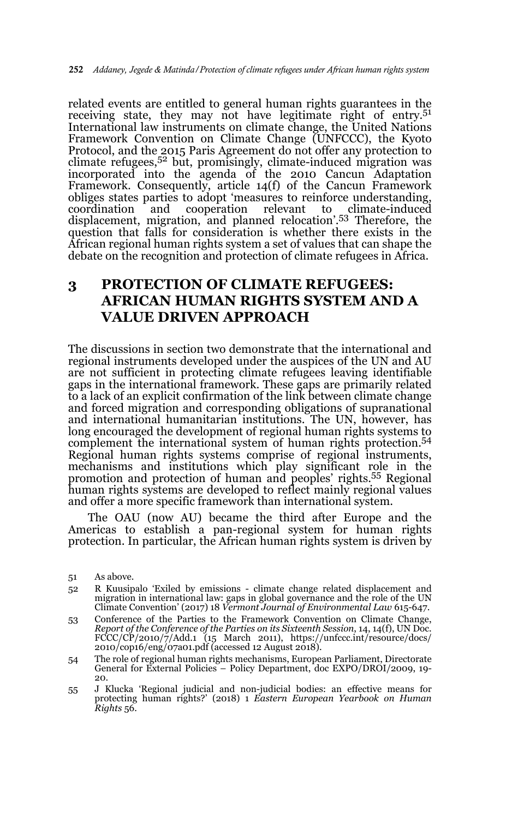related events are entitled to general human rights guarantees in the receiving state, they may not have legitimate right of entry.<sup>51</sup> International law instruments on climate change, the United Nations Framework Convention on Climate Change (UNFCCC), the Kyoto Protocol, and the 2015 Paris Agreement do not offer any protection to climate refugees,52 but, promisingly, climate-induced migration was incorporated into the agenda of the 2010 Cancun Adaptation Framework. Consequently, article 14(f) of the Cancun Framework obliges states parties to adopt 'measures to reinforce understanding, coordination and cooperation relevant to climate-induced displacement, migration, and planned relocation'.53 Therefore, the question that falls for consideration is whether there exists in the African regional human rights system a set of values that can shape the debate on the recognition and protection of climate refugees in Africa.

# **3 PROTECTION OF CLIMATE REFUGEES: AFRICAN HUMAN RIGHTS SYSTEM AND A VALUE DRIVEN APPROACH**

The discussions in section two demonstrate that the international and regional instruments developed under the auspices of the UN and AU are not sufficient in protecting climate refugees leaving identifiable gaps in the international framework. These gaps are primarily related to a lack of an explicit confirmation of the link between climate change and forced migration and corresponding obligations of supranational and international humanitarian institutions. The UN, however, has long encouraged the development of regional human rights systems to complement the international system of human rights protection.54 Regional human rights systems comprise of regional instruments, mechanisms and institutions which play significant role in the promotion and protection of human and peoples' rights.55 Regional human rights systems are developed to reflect mainly regional values and offer a more specific framework than international system.

The OAU (now AU) became the third after Europe and the Americas to establish a pan-regional system for human rights protection. In particular, the African human rights system is driven by

- 54 The role of regional human rights mechanisms, European Parliament, Directorate General for External Policies – Policy Department, doc EXPO/DROI/2009, 19- 20.
- 55 J Klucka 'Regional judicial and non-judicial bodies: an effective means for protecting human rights?' (2018) 1 *Eastern European Yearbook on Human Rights* 56.

<sup>51</sup> As above.

<sup>52</sup> R Kuusipalo 'Exiled by emissions - climate change related displacement and migration in international law: gaps in global governance and the role of the UN Climate Convention' (2017) 18 *Vermont Journal of Environmental Law* 615-647.

<sup>53</sup> Conference of the Parties to the Framework Convention on Climate Change, *Report of the Conference of the Parties on its Sixteenth Session*, 14, 14(f), UN Doc. FCCC/CP/2010/7/Add.1 (15 March 2011), https://unfccc.int/resource/docs/ 2010/cop16/eng/07a01.pdf (accessed 12 August 2018).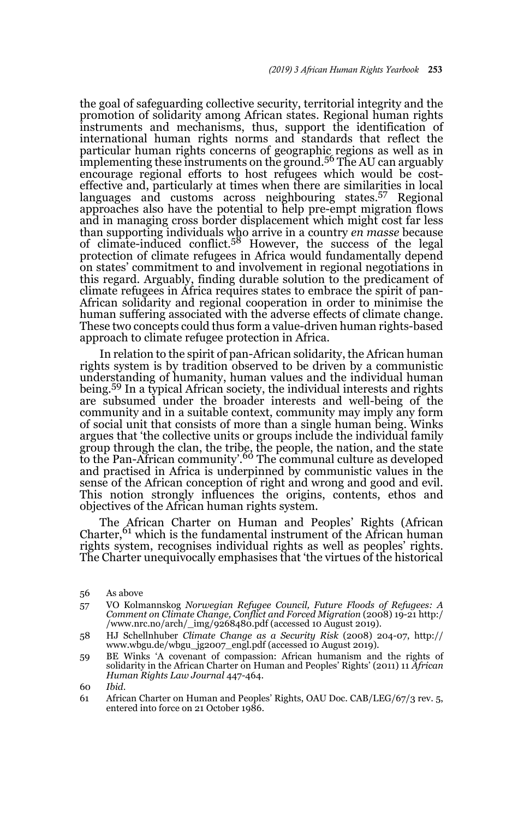the goal of safeguarding collective security, territorial integrity and the promotion of solidarity among African states. Regional human rights instruments and mechanisms, thus, support the identification of international human rights norms and standards that reflect the particular human rights concerns of geographic regions as well as in<br>implementing these instruments on the ground.<sup>56</sup> The AU can arguably encourage regional efforts to host refugees which would be costeffective and, particularly at times when there are similarities in local languages and customs across neighbouring states.<sup>57</sup> Regional approaches also have the potential to help pre-empt migration flows and in managing cross border displacement which might cost far less than supporting individuals who arrive in a country *en masse* because of climate-induced conflict.58 However, the success of the legal protection of climate refugees in Africa would fundamentally depend on states' commitment to and involvement in regional negotiations in this regard. Arguably, finding durable solution to the predicament of climate refugees in Africa requires states to embrace the spirit of pan-African solidarity and regional cooperation in order to minimise the human suffering associated with the adverse effects of climate change. These two concepts could thus form a value-driven human rights-based approach to climate refugee protection in Africa.

In relation to the spirit of pan-African solidarity, the African human rights system is by tradition observed to be driven by a communistic understanding of humanity, human values and the individual human being.59 In a typical African society, the individual interests and rights are subsumed under the broader interests and well-being of the community and in a suitable context, community may imply any form of social unit that consists of more than a single human being. Winks argues that 'the collective units or groups include the individual family group through the clan, the tribe, the people, the nation, and the state<br>to the Pan-African community'.<sup>60</sup> The communal culture as developed and practised in Africa is underpinned by communistic values in the sense of the African conception of right and wrong and good and evil. This notion strongly influences the origins, contents, ethos and objectives of the African human rights system.

The African Charter on Human and Peoples' Rights (African Charter,  $61$  which is the fundamental instrument of the African human rights system, recognises individual rights as well as peoples' rights. The Charter unequivocally emphasises that 'the virtues of the historical

<sup>56</sup> As above

<sup>57</sup> VO Kolmannskog *Norwegian Refugee Council, Future Floods of Refugees: A Comment on Climate Change, Conflict and Forced Migration* (2008) 19-21 http:/ /www.nrc.no/arch/\_img/9268480.pdf (accessed 10 August 2019).

<sup>58</sup> HJ Schellnhuber *Climate Change as a Security Risk* (2008) 204-07, http:// www.wbgu.de/wbgu\_jg2007\_engl.pdf (accessed 10 August 2019).

<sup>59</sup> BE Winks 'A covenant of compassion: African humanism and the rights of solidarity in the African Charter on Human and Peoples' Rights' (2011) 11 *African Human Rights Law Journal* 447-464.

<sup>60</sup> *Ibid*.

<sup>61</sup> African Charter on Human and Peoples' Rights, OAU Doc. CAB/LEG/67/3 rev. 5, entered into force on 21 October 1986.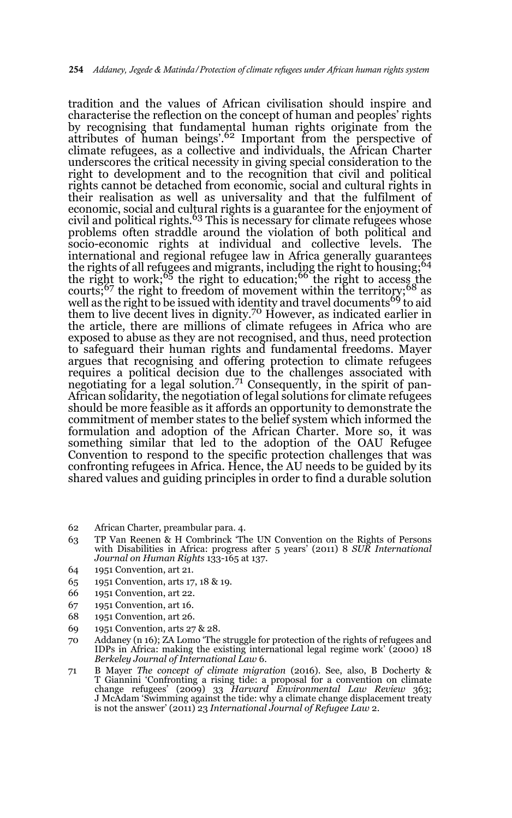tradition and the values of African civilisation should inspire and characterise the reflection on the concept of human and peoples' rights by recognising that fundamental human rights originate from the attributes of human beings'.<sup>62</sup> Important from the perspective of climate refugees, as a collective and individuals, the African Charter underscores the critical necessity in giving special consideration to the right to development and to the recognition that civil and political rights cannot be detached from economic, social and cultural rights in their realisation as well as universality and that the fulfilment of economic, social and cultural rights is a guarantee for the enjoyment of civil and political rights.<sup>63</sup> This is necessary for climate refugees whose problems often straddle around the violation of both political and socio-economic rights at individual and collective levels. The international and regional refugee law in Africa generally guarantees the rights of all refugees and migrants, including the right to housing;<sup>64</sup> the right to work; $65$  the right to education; $66$  the right to access the courts; $67$  the right to freedom of movement within the territory; $68$  as well as the right to be issued with identity and travel documents<sup>69</sup> to aid them to live decent lives in dignity.<sup>70</sup> However, as indicated earlier in the article, there are millions of climate refugees in Africa who are exposed to abuse as they are not recognised, and thus, need protection to safeguard their human rights and fundamental freedoms. Mayer argues that recognising and offering protection to climate refugees requires a political decision due to the challenges associated with negotiating for a legal solution.<sup>71</sup> Consequently, in the spirit of pan-African solidarity, the negotiation of legal solutions for climate refugees should be more feasible as it affords an opportunity to demonstrate the commitment of member states to the belief system which informed the formulation and adoption of the African Charter. More so, it was something similar that led to the adoption of the OAU Refugee Convention to respond to the specific protection challenges that was confronting refugees in Africa. Hence, the AU needs to be guided by its shared values and guiding principles in order to find a durable solution

- 62 African Charter, preambular para. 4.
- 63 TP Van Reenen & H Combrinck 'The UN Convention on the Rights of Persons with Disabilities in Africa: progress after 5 years' (2011) 8 *SUR International Journal on Human Rights* 133-165 at 137.
- 64 1951 Convention, art 21.
- 65 1951 Convention, arts 17, 18 & 19.
- 66 1951 Convention, art 22.
- 67 1951 Convention, art 16.
- 68 1951 Convention, art 26.
- 69 1951 Convention, arts 27 & 28.
- 70 Addaney (n 16); ZA Lomo 'The struggle for protection of the rights of refugees and IDPs in Africa: making the existing international legal regime work' (2000) 18 *Berkeley Journal of International Law* 6.
- 71 B Mayer *The concept of climate migration* (2016). See, also, B Docherty & T Giannini 'Confronting a rising tide: a proposal for a convention on climate<br>change refugees' (2009) 33 *Harvard Environmental Law Review* 363;<br>J McAdam 'Swimming against the tide: why a climate change displacement treaty is not the answer' (2011) 23 *International Journal of Refugee Law* 2.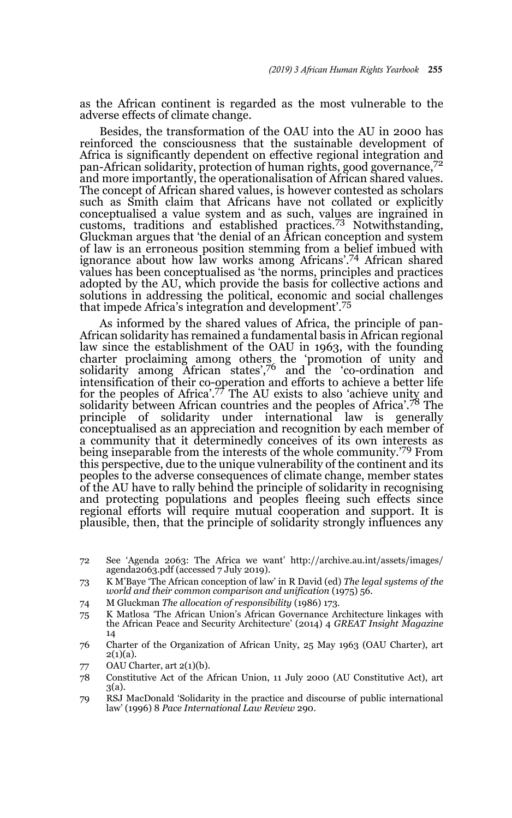as the African continent is regarded as the most vulnerable to the adverse effects of climate change.

Besides, the transformation of the OAU into the AU in 2000 has reinforced the consciousness that the sustainable development of Africa is significantly dependent on effective regional integration and pan-African solidarity, protection of human rights, good governance,<sup>72</sup> and more importantly, the operationalisation of African shared values. The concept of African shared values, is however contested as scholars such as Smith claim that Africans have not collated or explicitly conceptualised a value system and as such, values are ingrained in customs, traditions and established practices.73 Notwithstanding, Gluckman argues that 'the denial of an African conception and system of law is an erroneous position stemming from a belief imbued with ignorance about how law works among Africans'.74 African shared values has been conceptualised as 'the norms, principles and practices adopted by the AU, which provide the basis for collective actions and solutions in addressing the political, economic and social challenges that impede Africa's integration and development'.<sup>75</sup>

As informed by the shared values of Africa, the principle of pan-African solidarity has remained a fundamental basis in African regional law since the establishment of the OAU in 1963, with the founding charter proclaiming among others the 'promotion of unity and solidarity among African states',76 and the 'co-ordination and intensification of their co-operation and efforts to achieve a better life for the peoples of Africa'.77 The AU exists to also 'achieve unity and solidarity between African countries and the peoples of Africa'.78 The principle of solidarity under international law is generally conceptualised as an appreciation and recognition by each member of a community that it determinedly conceives of its own interests as being inseparable from the interests of the whole community.<sup>'79</sup> From this perspective, due to the unique vulnerability of the continent and its peoples to the adverse consequences of climate change, member states of the AU have to rally behind the principle of solidarity in recognising and protecting populations and peoples fleeing such effects since regional efforts will require mutual cooperation and support. It is plausible, then, that the principle of solidarity strongly influences any

- 74 M Gluckman *The allocation of responsibility* (1986) 173.
- 75 K Matlosa 'The African Union's African Governance Architecture linkages with the African Peace and Security Architecture' (2014) 4 *GREAT Insight Magazine* 14
- 76 Charter of the Organization of African Unity, 25 May 1963 (OAU Charter), art  $2(1)(a)$ .
- 77 OAU Charter, art 2(1)(b).
- 78 Constitutive Act of the African Union, 11 July 2000 (AU Constitutive Act), art 3(a).
- 79 RSJ MacDonald 'Solidarity in the practice and discourse of public international law' (1996) 8 *Pace International Law Review* 290.

<sup>72</sup> See 'Agenda 2063: The Africa we want' http://archive.au.int/assets/images/ agenda2063.pdf (accessed 7 July 2019).

<sup>73</sup> K M'Baye 'The African conception of law' in R David (ed) *The legal systems of the world and their common comparison and unification* (1975) 56.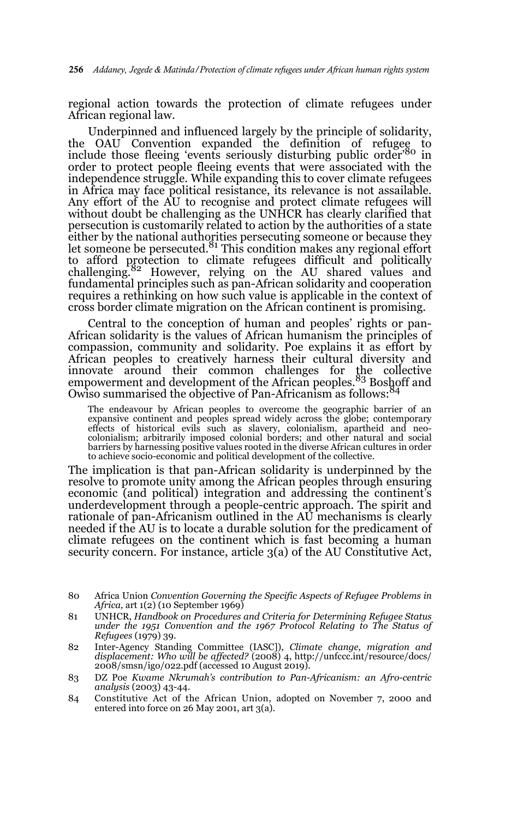regional action towards the protection of climate refugees under African regional law.

Underpinned and influenced largely by the principle of solidarity, the OAU Convention expanded the definition of refugee to include those fleeing 'events seriously disturbing public order'80 in order to protect people fleeing events that were associated with the independence struggle. While expanding this to cover climate refugees in Africa may face political resistance, its relevance is not assailable. Any effort of the AU to recognise and protect climate refugees will without doubt be challenging as the UNHCR has clearly clarified that persecution is customarily related to action by the authorities of a state either by the national authorities persecuting someone or because they<br>let someone be persecuted.<sup>81</sup> This condition makes any regional effort to afford protection to climate refugees difficult and politically challenging.82 However, relying on the AU shared values and fundamental principles such as pan-African solidarity and cooperation requires a rethinking on how such value is applicable in the context of cross border climate migration on the African continent is promising.

Central to the conception of human and peoples' rights or pan-African solidarity is the values of African humanism the principles of compassion, community and solidarity. Poe explains it as effort by African peoples to creatively harness their cultural diversity and innovate around their common challenges for the collective empowerment and development of the African peoples.<sup>83</sup> Boshoff and Owiso summarised the objective of Pan-Africanism as follows:<sup>84</sup>

The endeavour by African peoples to overcome the geographic barrier of an expansive continent and peoples spread widely across the globe; contemporary effects of historical evils such as slavery, colonialism, apartheid and neo-colonialism; arbitrarily imposed colonial borders; and other natural and social barriers by harnessing positive values rooted in the diverse African cultures in order to achieve socio-economic and political development of the collective.

The implication is that pan-African solidarity is underpinned by the resolve to promote unity among the African peoples through ensuring economic (and political) integration and addressing the continent's underdevelopment through a people-centric approach. The spirit and rationale of pan-Africanism outlined in the AU mechanisms is clearly needed if the AU is to locate a durable solution for the predicament of climate refugees on the continent which is fast becoming a human security concern. For instance, article 3(a) of the AU Constitutive Act,

- 81 UNHCR, *Handbook on Procedures and Criteria for Determining Refugee Status under the 1951 Convention and the 1967 Protocol Relating to The Status of Refugees* (1979) 39.
- 82 Inter-Agency Standing Committee (IASC]), *Climate change, migration and displacement: Who will be affected?* (2008) 4, http://unfccc.int/resource/docs/ 2008/smsn/igo/022.pdf (accessed 10 August 2019).
- 83 DZ Poe *Kwame Nkrumah's contribution to Pan-Africanism: an Afro-centric analysis* (2003) 43-44.
- 84 Constitutive Act of the African Union, adopted on November 7, 2000 and entered into force on 26 May 2001, art 3(a).

<sup>80</sup> Africa Union *Convention Governing the Specific Aspects of Refugee Problems in Africa,* art 1(2) (10 September 1969)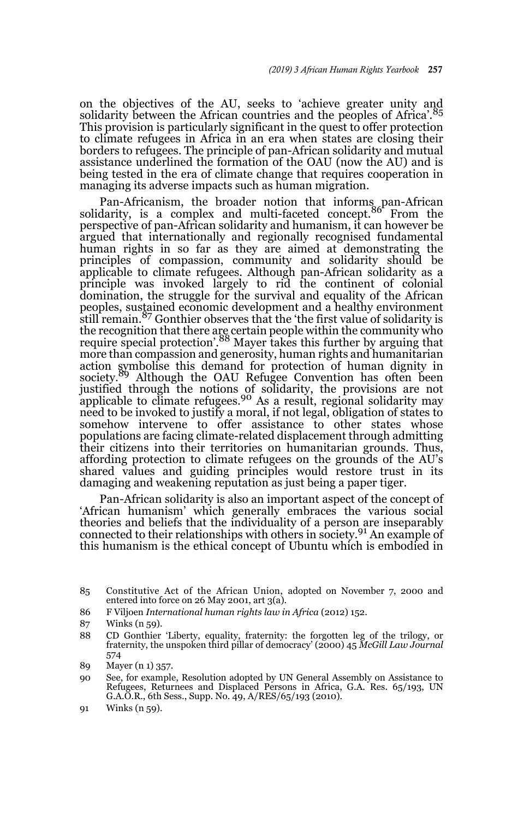on the objectives of the AU, seeks to 'achieve greater unity and solidarity between the African countries and the peoples of Africa'.<sup>85</sup> This provision is particularly significant in the quest to offer protection to climate refugees in Africa in an era when states are closing their borders to refugees. The principle of pan-African solidarity and mutual assistance underlined the formation of the OAU (now the AU) and is being tested in the era of climate change that requires cooperation in managing its adverse impacts such as human migration.

Pan-Africanism, the broader notion that informs pan-African<br>solidarity, is a complex and multi-faceted concept.<sup>86</sup> From the perspective of pan-African solidarity and humanism, it can however be argued that internationally and regionally recognised fundamental human rights in so far as they are aimed at demonstrating the principles of compassion, community and solidarity should be applicable to climate refugees. Although pan-African solidarity as a principle was invoked largely to rid the continent of colonial domination, the struggle for the survival and equality of the African peoples, sustained economic development and a healthy environment still remain.87 Gonthier observes that the 'the first value of solidarity is the recognition that there are certain people within the community who<br>require special protection'.<sup>88</sup> Mayer takes this further by arguing that more than compassion and generosity, human rights and humanitarian action symbolise this demand for protection of human dignity in society.89 Although the OAU Refugee Convention has often been justified through the notions of solidarity, the provisions are not applicable to climate refugees.<sup>90</sup> As a result, regional solidarity may need to be invoked to justify a moral, if not legal, obligation of states to somehow intervene to offer assistance to other states whose populations are facing climate-related displacement through admitting their citizens into their territories on humanitarian grounds. Thus, affording protection to climate refugees on the grounds of the AU's shared values and guiding principles would restore trust in its damaging and weakening reputation as just being a paper tiger.

Pan-African solidarity is also an important aspect of the concept of 'African humanism' which generally embraces the various social theories and beliefs that the individuality of a person are inseparably connected to their relationships with others in society.91 An example of this humanism is the ethical concept of Ubuntu which is embodied in

- 86 F Viljoen *International human rights law in Africa* (2012) 152.
- 87 Winks (n 59).
- 88 CD Gonthier 'Liberty, equality, fraternity: the forgotten leg of the trilogy, or fraternity, the unspoken third pillar of democracy' (2000) 45 *McGill Law Journal* 574

90 See, for example, Resolution adopted by UN General Assembly on Assistance to Refugees, Returnees and Displaced Persons in Africa, G.A. Res. 65/193, UN G.A.O.R., 6th Sess., Supp. No. 49, A/RES/65/193 (2010).

<sup>85</sup> Constitutive Act of the African Union, adopted on November 7, 2000 and entered into force on 26 May 2001, art 3(a).

<sup>89</sup> Mayer (n 1) 357.

<sup>91</sup> Winks (n 59).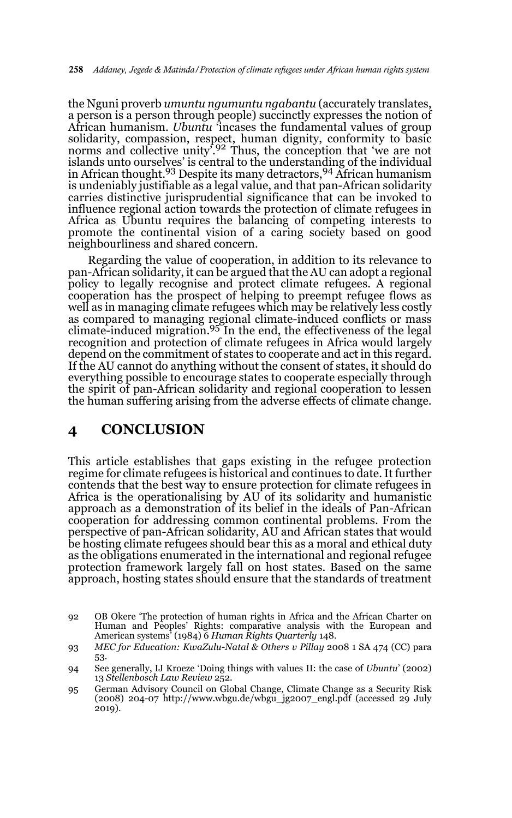the Nguni proverb *umuntu ngumuntu ngabantu* (accurately translates, a person is a person through people) succinctly expresses the notion of African humanism. *Ubuntu* 'incases the fundamental values of group solidarity, compassion, respect, human dignity, conformity to basic<br>norms and collective unity'.<sup>92</sup> Thus, the conception that 'we are not islands unto ourselves' is central to the understanding of the individual in African thought.<sup>93</sup> Despite its many detractors, <sup>94</sup> African humanism is undeniably justifiable as a legal value, and that pan-African solidarity carries distinctive jurisprudential significance that can be invoked to influence regional action towards the protection of climate refugees in Africa as Ubuntu requires the balancing of competing interests to promote the continental vision of a caring society based on good neighbourliness and shared concern.

Regarding the value of cooperation, in addition to its relevance to pan-African solidarity, it can be argued that the AU can adopt a regional policy to legally recognise and protect climate refugees. A regional cooperation has the prospect of helping to preempt refugee flows as well as in managing climate refugees which may be relatively less costly as compared to managing regional climate-induced conflicts or mass climate-induced migration.<sup>95</sup> In the end, the effectiveness of the legal recognition and protection of climate refugees in Africa would largely depend on the commitment of states to cooperate and act in this regard. If the AU cannot do anything without the consent of states, it should do everything possible to encourage states to cooperate especially through the spirit of pan-African solidarity and regional cooperation to lessen the human suffering arising from the adverse effects of climate change.

## **4 CONCLUSION**

This article establishes that gaps existing in the refugee protection regime for climate refugees is historical and continues to date. It further contends that the best way to ensure protection for climate refugees in Africa is the operationalising by AU of its solidarity and humanistic approach as a demonstration of its belief in the ideals of Pan-African cooperation for addressing common continental problems. From the perspective of pan-African solidarity, AU and African states that would be hosting climate refugees should bear this as a moral and ethical duty as the obligations enumerated in the international and regional refugee protection framework largely fall on host states. Based on the same approach, hosting states should ensure that the standards of treatment

<sup>92</sup> OB Okere 'The protection of human rights in Africa and the African Charter on Human and Peoples' Rights: comparative analysis with the European and American systems' (1984) 6 *Human Rights Quarterly* 148.

<sup>93</sup> *MEC for Education: KwaZulu-Natal & Others v Pillay* 2008 1 SA 474 (CC) para 53.

<sup>94</sup> See generally, IJ Kroeze 'Doing things with values II: the case of *Ubuntu*' (2002) 13 *Stellenbosch Law Review* 252.

<sup>95</sup> German Advisory Council on Global Change, Climate Change as a Security Risk (2008) 204-07 http://www.wbgu.de/wbgu\_jg2007\_engl.pdf (accessed 29 July 2019).